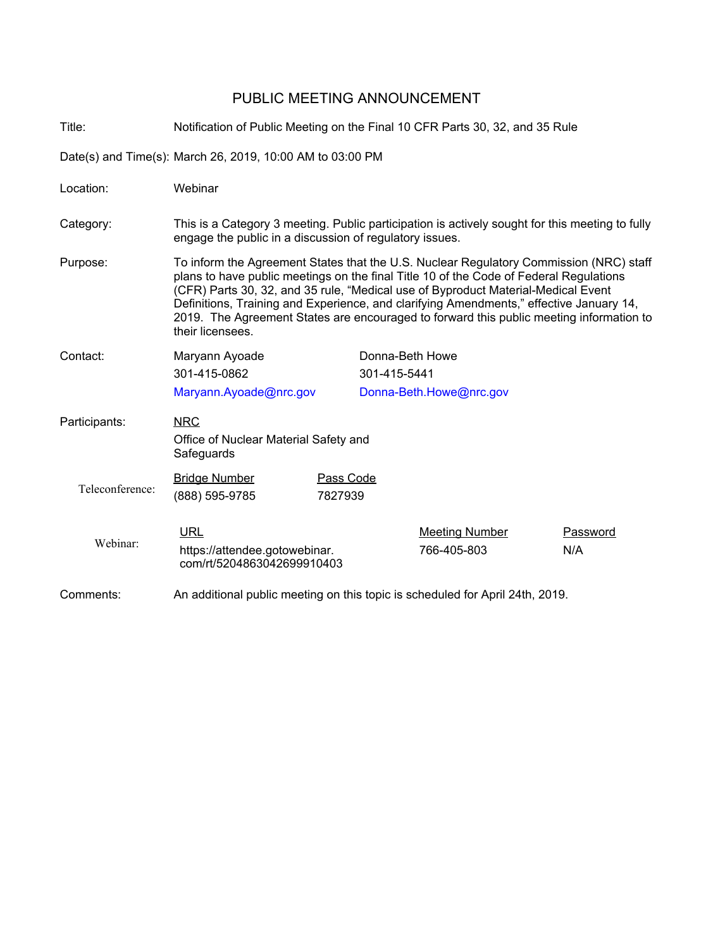#### PUBLIC MEETING ANNOUNCEMENT

Title: Notification of Public Meeting on the Final 10 CFR Parts 30, 32, and 35 Rule Date(s) and Time(s): March 26, 2019, 10:00 AM to 03:00 PM Location: Webinar Category: This is a Category 3 meeting. Public participation is actively sought for this meeting to fully engage the public in a discussion of regulatory issues. Purpose: To inform the Agreement States that the U.S. Nuclear Regulatory Commission (NRC) staff plans to have public meetings on the final Title 10 of the Code of Federal Regulations (CFR) Parts 30, 32, and 35 rule, "Medical use of Byproduct Material-Medical Event Definitions, Training and Experience, and clarifying Amendments," effective January 14, 2019. The Agreement States are encouraged to forward this public meeting information to their licensees. Contact: Maryann Ayoade 301-415-0862 Maryann.Ayoade@nrc.gov Donna-Beth Howe 301-415-5441 Donna-Beth.Howe@nrc.gov NRC Office of Nuclear Material Safety and **Safeguards** Participants: Teleconference: Bridge Number Pass Code (888) 595-9785 7827939 Webinar: URL URL Meeting Number Password https://attendee.gotowebinar. com/rt/5204863042699910403 766-405-803 N/A Comments: An additional public meeting on this topic is scheduled for April 24th, 2019.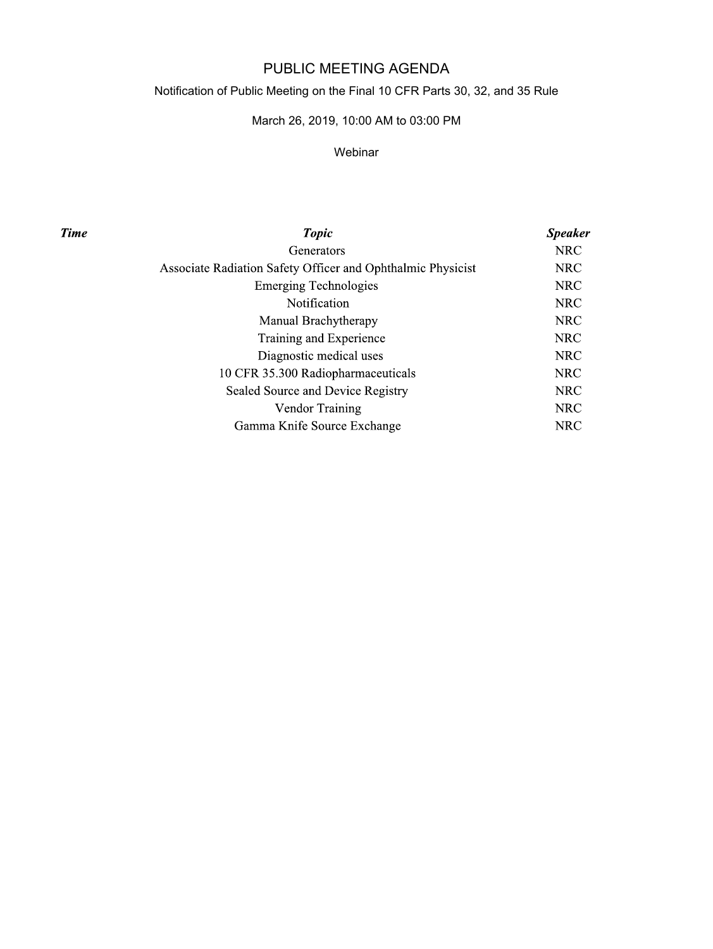# PUBLIC MEETING AGENDA

## Notification of Public Meeting on the Final 10 CFR Parts 30, 32, and 35 Rule

## March 26, 2019, 10:00 AM to 03:00 PM

#### Webinar

**Time** 

| <b>Topic</b>                                                | <b>Speaker</b> |
|-------------------------------------------------------------|----------------|
| Generators                                                  | <b>NRC</b>     |
| Associate Radiation Safety Officer and Ophthalmic Physicist | <b>NRC</b>     |
| <b>Emerging Technologies</b>                                | <b>NRC</b>     |
| <b>Notification</b>                                         | <b>NRC</b>     |
| Manual Brachytherapy                                        | <b>NRC</b>     |
| Training and Experience                                     | <b>NRC</b>     |
| Diagnostic medical uses                                     | <b>NRC</b>     |
| 10 CFR 35.300 Radiopharmaceuticals                          | <b>NRC</b>     |
| Sealed Source and Device Registry                           | <b>NRC</b>     |
| Vendor Training                                             | <b>NRC</b>     |
| Gamma Knife Source Exchange                                 | <b>NRC</b>     |
|                                                             |                |